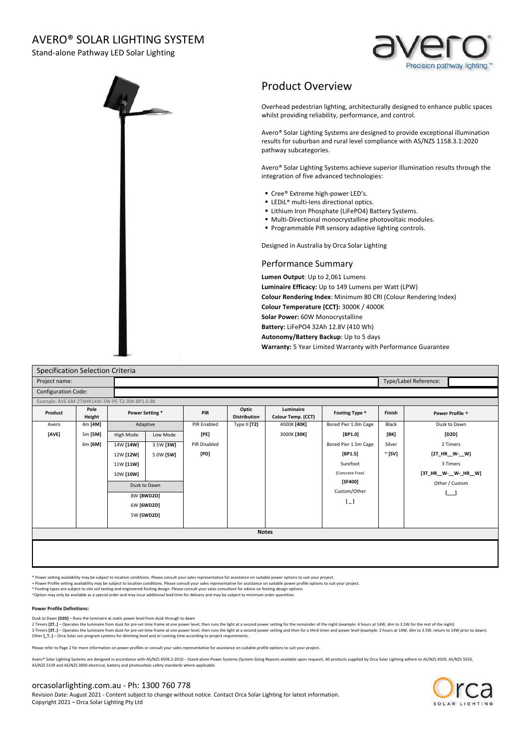## AVERO® SOLAR LIGHTING SYSTEM

Stand-alone Pathway LED Solar Lighting





## Product Overview

Overhead pedestrian lighting, architecturally designed to enhance public spaces whilst providing reliability, performance, and control.

Avero® Solar Lighting Systems are designed to provide exceptional illumination results for suburban and rural level compliance with AS/NZS 1158.3.1:2020 pathway subcategories.

Avero® Solar Lighting Systems achieve superior illumination results through the integration of five advanced technologies:

- Cree® Extreme high-power LED's.
- LEDiL<sup>®</sup> multi-lens directional optics.
- **E** Lithium Iron Phosphate (LiFePO4) Battery Systems.
- Multi-Directional monocrystalline photovoltaic modules.
- **Programmable PIR sensory adaptive lighting controls.**

Designed in Australia by Orca Solar Lighting

## Performance Summary

**Lumen Output**: Up to 2,061 Lumens **Luminaire Efficacy:** Up to 149 Lumens per Watt (LPW) **Colour Rendering Index**: Minimum 80 CRI (Colour Rendering Index) **Colour Temperature (CCT):** 3000K / 4000K **Solar Power:** 60W Monocrystalline **Battery:** LiFePO4 32Ah 12.8V (410 Wh) **Autonomy/Battery Backup**: Up to 5 days **Warranty:** 5 Year Limited Warranty with Performance Guarantee

| Specification Selection Criteria               |                |                 |              |              |                              |                                 |                       |             |                       |
|------------------------------------------------|----------------|-----------------|--------------|--------------|------------------------------|---------------------------------|-----------------------|-------------|-----------------------|
| Project name:                                  |                |                 |              |              |                              |                                 | Type/Label Reference: |             |                       |
| <b>Configuration Code:</b>                     |                |                 |              |              |                              |                                 |                       |             |                       |
| Example: AVE-6M-2T4HR14W-3W-PE-T2-30K-BP1.0-BK |                |                 |              |              |                              |                                 |                       |             |                       |
| Product                                        | Pole<br>Height | Power Setting * |              | PIR          | Optic<br><b>Distribution</b> | Luminaire<br>Colour Temp. (CCT) | Footing Type ^        | Finish      | Power Profile +       |
| Avero                                          | 4m [4M]        |                 | Adaptive     | PIR Enabled  | Type II [T2]                 | 4000K [40K]                     | Bored Pier 1.0m Cage  | Black       | Dusk to Dawn          |
| [AVE]                                          | 5m [5M]        | High Mode       | Low Mode     | [PE]         |                              | 3000K [30K]                     | [BP1.0]               | [BK]        | [D2D]                 |
|                                                | 6m [6M]        | 14W [14W]       | 3.5W [3W]    | PIR Disabled |                              |                                 | Bored Pier 1.5m Cage  | Silver      | 2 Timers              |
|                                                |                | 12W [12W]       | 5.0W [5W]    | [PD]         |                              |                                 | [BP1.5]               | $\sim$ [SV] | [2T_HR__W-__W]        |
|                                                |                | 11W [11W]       |              |              |                              |                                 | Surefoot              |             | 3 Timers              |
|                                                |                | 10W [10W]       |              |              |                              |                                 | (Concrete-Free)       |             | [3T_HR__W-__W-_HR__W] |
|                                                |                |                 | Dusk to Dawn |              |                              |                                 | [SF400]               |             | Other / Custom        |
|                                                |                | 8W [8WD2D]      |              |              |                              |                                 | Custom/Other          |             |                       |
|                                                |                | 6W [6WD2D]      |              |              |                              |                                 | $\lceil \_$           |             |                       |
|                                                |                | 5W (5WD2D)      |              |              |                              |                                 |                       |             |                       |
|                                                |                |                 |              |              |                              |                                 |                       |             |                       |
| <b>Notes</b>                                   |                |                 |              |              |                              |                                 |                       |             |                       |
|                                                |                |                 |              |              |                              |                                 |                       |             |                       |
|                                                |                |                 |              |              |                              |                                 |                       |             |                       |
|                                                |                |                 |              |              |                              |                                 |                       |             |                       |

\* Power setting availability may be subject to location conditions. Please consult your sales representative for assistance on suitable power options to suit your project.

+ Power Profile setting availability may be subject to location conditions. Please consult your sales representative for assistance on suitable power profile options to suit your project.<br>^ Footing types are subject to sit

#### **Power Profile Definitions:**

Dusk to Dawn **[D2D]** – Runs the luminaire at static power level from dusk through to dawn<br>2 Timers **[2T..]** – Operates the luminaire from dusk for pre-set time frame at one power level, then runs the light at a second powe 3 Timers [3T..] - Operates the luminaire from dusk for pre-set time frame at one power level, then runs the light at a second power setting and then for a third timer and power level (example: 2 hours at 14W, dim to 3.5W, Other **[\_T..]** – Orca Solar can program systems for dimming level and or running time according to project requirements.

Please refer to Page 2 for more information on power profiles or consult your sales representative for assistance on suitable profile options to suit your project.

ero® Solar Lighting Systems are designed in accordance with AS/NZS 4509.2-2010 - Stand-alone Power Systems (System Sizing Reports available upon request). All products supplied by Orca Solar Lighting adhere to AS/NZS 4509, AS/NZS 5139 and AS/NZS 3000 electrical, battery and photovoltaic safety standards where applicable.

#### orcasolarlighting.com.au - Ph: 1300 760 778

Revision Date: August 2021 - Content subject to change without notice. Contact Orca Solar Lighting for latest information. Copyright 2021 – Orca Solar Lighting Pty Ltd

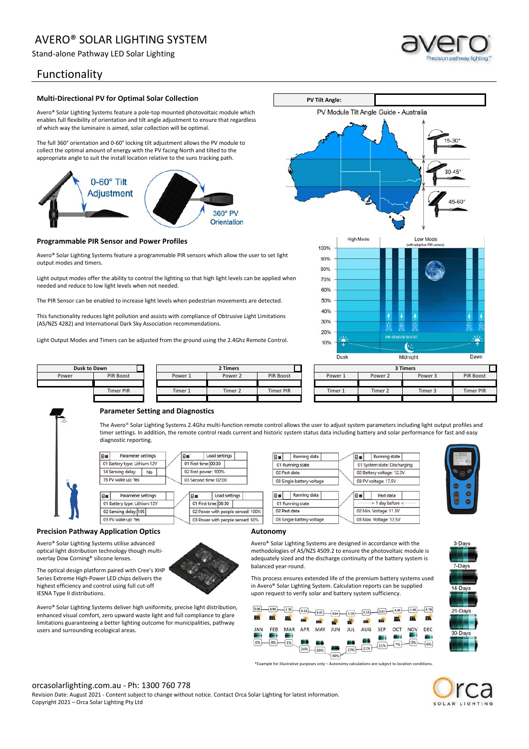# AVERO® SOLAR LIGHTING SYSTEM

Stand-alone Pathway LED Solar Lighting

## Functionality

#### **Multi-Directional PV for Optimal Solar Collection**

Avero® Solar Lighting Systems feature a pole-top mounted photovoltaic module which enables full flexibility of orientation and tilt angle adjustment to ensure that regardless of which way the luminaire is aimed, solar collection will be optimal.

The full 360° orientation and 0-60° locking tilt adjustment allows the PV module to collect the optimal amount of energy with the PV facing North and tilted to the appropriate angle to suit the install location relative to the suns tracking path.



#### **Programmable PIR Sensor and Power Profiles**

Avero® Solar Lighting Systems feature a programmable PIR sensors which allow the user to set light output modes and timers.

Light output modes offer the ability to control the lighting so that high light levels can be applied when needed and reduce to low light levels when not needed.

The PIR Sensor can be enabled to increase light levels when pedestrian movements are detected.

This functionality reduces light pollution and assists with compliance of Obtrusive Light Limitations (AS/NZS 4282) and International Dark Sky Association recommendations.

Light Output Modes and Timers can be adjusted from the ground using the 2.4Ghz Remote Control.



Running state

01 System state: Discharging

Past data

> 1 day before <

02 Battery voltage: 12.3V

03 PV voltage: 17.5V

02 Min. Voltage: 11.3V

03 Max. Voltage: 12.5V

a.

film<sup>1</sup>



#### **Parameter Setting and Diagnostics**

The Avero® Solar Lighting Systems 2.4Ghz multi-function remote control allows the user to adjust system parameters including light output profiles and timer settings. In addition, the remote control reads current and historic system status data including battery and solar performance for fast and easy diagnostic reporting.

**Bu** Running data

03 Single battery voltage

Running data

03 Single battery voltage

01 Running state

01 Running state

02 Past data

02 Past data

**Ref** 

**PV Tilt Angle:**

PV Module Tilt Angle Guide - Australia



#### **Precision Pathway Application Optics**

Avero® Solar Lighting Systems utilise advanced optical light distribution technology though multioverlay Dow Corning® silicone lenses.

The optical design platform paired with Cree's XHP Series Extreme High-Power LED chips delivers the highest efficiency and control using full cut-off IESNA Type II distributions.



Avero® Solar Lighting Systems deliver high uniformity, precise light distribution, enhanced visual comfort, zero upward waste light and full compliance to glare limitations guaranteeing a better lighting outcome for municipalities, pathway users and surrounding ecological areas.

#### **Autonomy**

Avero® Solar Lighting Systems are designed in accordance with the methodologies of AS/NZS 4509.2 to ensure the photovoltaic module is adequately sized and the discharge continuity of the battery system is balanced year-round.

This process ensures extended life of the premium battery systems used in Avero® Solar Lighting System. Calculation reports can be supplied upon request to verify solar and battery system sufficiency.

| 5.00        | 4.94 | 4.76 | 4.22       | 3.45 | (3.04) | $\sqrt{3.13}$ | 3.53 | 3.97 | 4.44 | 4.66       | 4.78 |
|-------------|------|------|------------|------|--------|---------------|------|------|------|------------|------|
| 鼺           | m    | 鼺    | <b>EER</b> | 223  | m      | 惢             | m    | m    | m    | m          | m    |
| JAN         | FEB  | MAR  | APR        | MAY  | JUN    | <b>JUL</b>    | AUG  | SEP  | OCT  | <b>NOV</b> | DEC  |
| a pro<br>0% | 0%   | 1%   |            |      |        |               | ÷    |      |      | 0%         | ÷    |
|             |      |      | 24%        | 28%  |        | ш<br>(27%)    | 21%  | 11%  | 7%   |            | 6%   |
|             |      |      |            |      | 49%    |               |      |      |      |            |      |

\*Example for illustrative purposes only – Autonomy calculations are subject to location conditions.



3-Days

7-Days

14-Days

21-Days

 $30.0$  ave

#### orcasolarlighting.com.au - Ph: 1300 760 778

Revision Date: August 2021 - Content subject to change without notice. Contact Orca Solar Lighting for latest information. Copyright 2021 – Orca Solar Lighting Pty Ltd



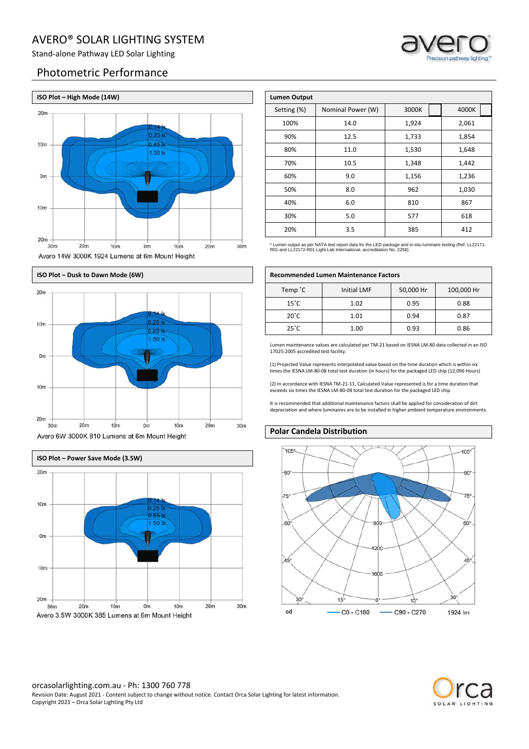## AVERO® SOLAR LIGHTING SYSTEM

Stand-alone Pathway LED Solar Lighting

## Photometric Performance









| <b>Lumen Output</b> |                   |       |       |  |  |
|---------------------|-------------------|-------|-------|--|--|
| Setting (%)         | Nominal Power (W) | 3000K | 4000K |  |  |
| 100%                | 14.0              | 1,924 | 2,061 |  |  |
| 90%                 | 12.5              | 1,733 | 1,854 |  |  |
| 80%                 | 11.0              | 1,530 | 1,648 |  |  |
| 70%                 | 10.5              | 1,348 | 1,442 |  |  |
| 60%                 | 9.0               | 1,156 | 1,236 |  |  |
| 50%                 | 8.0               | 962   | 1,030 |  |  |
| 40%                 | 6.0               | 810   | 867   |  |  |
| 30%                 | 5.0               | 577   | 618   |  |  |
| 20%                 | 3.5               | 385   | 412   |  |  |

\* Lumen output as per NATA test report data for the LED package and in-situ luminaire testing (Ref. LL22171- R01 and LL22172-R01 Light Lab International, accreditation No. 2258)

| Temp °C        | <b>Initial LMF</b> | 50,000 Hr | 100,000 Hr |
|----------------|--------------------|-----------|------------|
| $15^{\circ}$ C | 1.02               | 0.95      | 0.88       |
| $20^{\circ}$ C | 1.01               | 0.94      | 0.87       |
| $25^{\circ}$ C | 1.00               | 0.93      | 0.86       |

Lumen maintenance values are calculated per TM-21 based on IESNA LM-80 data collected in an ISO 17025:2005 accredited test facility.

(1) Projected Value represents interpolated value based on the time duration which is within six times the IESNA LM-80-08 total test duration (in hours) for the packaged LED chip (12,096 Hours)

(2) In accordance with IESNA TM-21-11, Calculated Value represented is for a time duration that exceeds six times the IESNA LM-80-08 total test duration for the packaged LED chip

It is recommended that additional maintenance factors shall be applied for consideration of dirt depreciation and where luminaires are to be installed in higher ambient temperature environments.

#### **Polar Candela Distribution**





# Avero 14W 3000K 1924 Lumens at 6m Mount Height **ISO Plot – Dusk to Dawn Mode (6W) Recommended Lumen Maintenance Factors**

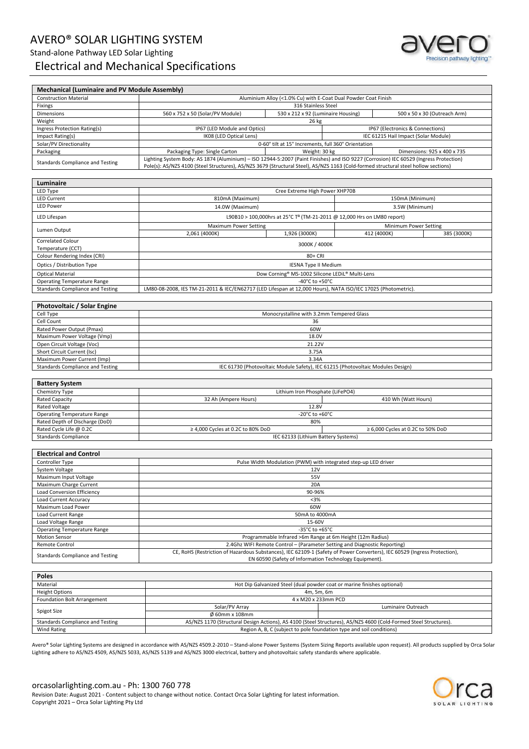## AVERO® SOLAR LIGHTING SYSTEM Stand-alone Pathway LED Solar Lighting Electrical and Mechanical Specifications



#### **Mechanical (Luminaire and PV Module Assembly)** Construction Material **Aluminium Aluminium Alloy (<1.0% Cu) with E-Coat Dual Powder Coat Finish** Fixings 316 Stainless Steel Dimensions 560 x 752 x 50 (Solar/PV Module) 530 x 212 x 92 (Luminaire Housing) 500 x 50 x 30 (Outreach Arm) Weight 26 kg Ingress Protection Rating(s) **IP67** (LED Module and Optics) IP67 (Leteronics & Connections) Impact Rating(s) **IFC 61215 Hail Impact (Solar Module)** IK08 (LED Optical Lens) **IEC 61215 Hail Impact (Solar Module**) Solar/PV Directionality **Directionality 1.15°** Increments, full 360° Orientation Packaging **Packaging Type: Single Carton** Neight: 30 kg Dimensions: 925 x 400 x 735 Standards Compliance and Testing United System Body: AS 1874 (Aluminium) – ISO 12944-5:2007 (Paint Finishes) and ISO 9227 (Corrosion) IEC 60529 (Ingress Protection) Inc. and Testing Lighting System Body: AS 1874 (Aluminium Pole(s): AS/NZS 4100 (Steel Structures), AS/NZS 3679 (Structural Steel), AS/NZS 1163 (Cold-formed structural steel hollow sections)

| Luminaire                                                                                                                                               |                                                 |                                                                                     |                       |             |  |
|---------------------------------------------------------------------------------------------------------------------------------------------------------|-------------------------------------------------|-------------------------------------------------------------------------------------|-----------------------|-------------|--|
| LED Type                                                                                                                                                | Cree Extreme High Power XHP70B                  |                                                                                     |                       |             |  |
| <b>LED Current</b>                                                                                                                                      | 810mA (Maximum)                                 |                                                                                     | 150mA (Minimum)       |             |  |
| <b>LED Power</b>                                                                                                                                        | 14.0W (Maximum)                                 |                                                                                     | 3.5W (Minimum)        |             |  |
| LED Lifespan                                                                                                                                            |                                                 | L90B10 > 100,000hrs at 25°C T <sup>a</sup> (TM-21-2011 @ 12,000 Hrs on LM80 report) |                       |             |  |
| Lumen Output                                                                                                                                            | <b>Maximum Power Setting</b>                    |                                                                                     | Minimum Power Setting |             |  |
|                                                                                                                                                         | 2,061 (4000K)                                   | 1,926 (3000K)                                                                       | 412 (4000K)           | 385 (3000K) |  |
| <b>Correlated Colour</b>                                                                                                                                | 3000K / 4000K                                   |                                                                                     |                       |             |  |
| Temperature (CCT)                                                                                                                                       |                                                 |                                                                                     |                       |             |  |
| Colour Rendering Index (CRI)                                                                                                                            | 80+ CRI                                         |                                                                                     |                       |             |  |
| Optics / Distribution Type                                                                                                                              | <b>IESNA Type II Medium</b>                     |                                                                                     |                       |             |  |
| <b>Optical Material</b>                                                                                                                                 | Dow Corning® MS-1002 Silicone LEDiL® Multi-Lens |                                                                                     |                       |             |  |
| <b>Operating Temperature Range</b>                                                                                                                      | -40 $^{\circ}$ C to +50 $^{\circ}$ C            |                                                                                     |                       |             |  |
| LM80-08-2008, IES TM-21-2011 & IEC/EN62717 (LED Lifespan at 12,000 Hours), NATA ISO/IEC 17025 (Photometric).<br><b>Standards Compliance and Testing</b> |                                                 |                                                                                     |                       |             |  |

| <b>Photovoltaic / Solar Engine</b> |                                                                                 |  |  |  |  |
|------------------------------------|---------------------------------------------------------------------------------|--|--|--|--|
| Cell Type                          | Monocrystalline with 3.2mm Tempered Glass                                       |  |  |  |  |
| Cell Count                         | 36                                                                              |  |  |  |  |
| Rated Power Output (Pmax)          | 60W                                                                             |  |  |  |  |
| Maximum Power Voltage (Vmp)        | 18.0V                                                                           |  |  |  |  |
| Open Circuit Voltage (Voc)         | 21.22V                                                                          |  |  |  |  |
| Short Circuit Current (Isc)        | 3.75A                                                                           |  |  |  |  |
| Maximum Power Current (Imp)        | 3.34A                                                                           |  |  |  |  |
| Standards Compliance and Testing   | IEC 61730 (Photovoltaic Module Safety), IEC 61215 (Photovoltaic Modules Design) |  |  |  |  |

| <b>Battery System</b>              |                                                                                  |                     |  |
|------------------------------------|----------------------------------------------------------------------------------|---------------------|--|
| Chemistry Type                     | Lithium Iron Phosphate (LiFePO4)                                                 |                     |  |
| <b>Rated Capacity</b>              | 32 Ah (Ampere Hours)                                                             | 410 Wh (Watt Hours) |  |
| <b>Rated Voltage</b>               | 12.8V                                                                            |                     |  |
| <b>Operating Temperature Range</b> | -20 $^{\circ}$ C to +60 $^{\circ}$ C                                             |                     |  |
| Rated Depth of Discharge (DoD)     | 80%                                                                              |                     |  |
| Rated Cycle Life @ 0.2C            | $\geq 6,000$ Cycles at 0.2C to 50% DoD<br>$\geq$ 4,000 Cycles at 0.2C to 80% DoD |                     |  |
| <b>Standards Compliance</b>        | IEC 62133 (Lithium Battery Systems)                                              |                     |  |

| <b>Electrical and Control</b>                                                     |                                                                                                                           |
|-----------------------------------------------------------------------------------|---------------------------------------------------------------------------------------------------------------------------|
| Controller Type                                                                   | Pulse Width Modulation (PWM) with integrated step-up LED driver                                                           |
| System Voltage                                                                    | 12V                                                                                                                       |
| Maximum Input Voltage                                                             | 55V                                                                                                                       |
| Maximum Charge Current                                                            | 20A                                                                                                                       |
| <b>Load Conversion Efficiency</b>                                                 | 90-96%                                                                                                                    |
| Load Current Accuracy                                                             | $3%$                                                                                                                      |
| Maximum Load Power                                                                | 60W                                                                                                                       |
| Load Current Range                                                                | 50mA to 4000mA                                                                                                            |
| Load Voltage Range<br>15-60V                                                      |                                                                                                                           |
| <b>Operating Temperature Range</b>                                                | -35 $^{\circ}$ C to +65 $^{\circ}$ C                                                                                      |
| Programmable Infrared >6m Range at 6m Height (12m Radius)<br><b>Motion Sensor</b> |                                                                                                                           |
| <b>Remote Control</b>                                                             | 2.4Ghz WIFI Remote Control – (Parameter Setting and Diagnostic Reporting)                                                 |
| Standards Compliance and Testing                                                  | CE, RoHS (Restriction of Hazardous Substances), IEC 62109-1 (Safety of Power Converters), IEC 60529 (Ingress Protection), |
|                                                                                   | EN 60590 (Safety of Information Technology Equipment).                                                                    |

| <b>Poles</b>                                                                               |                                                                         |                                                                                                                  |  |  |
|--------------------------------------------------------------------------------------------|-------------------------------------------------------------------------|------------------------------------------------------------------------------------------------------------------|--|--|
| Material                                                                                   | Hot Dip Galvanized Steel (dual powder coat or marine finishes optional) |                                                                                                                  |  |  |
| <b>Height Options</b>                                                                      | 4m, 5m, 6m                                                              |                                                                                                                  |  |  |
| Foundation Bolt Arrangement                                                                | 4 x M20 x 233mm PCD                                                     |                                                                                                                  |  |  |
|                                                                                            | Solar/PV Array                                                          | Luminaire Outreach                                                                                               |  |  |
| Spigot Size                                                                                | $\emptyset$ 60mm x 108mm                                                |                                                                                                                  |  |  |
| Standards Compliance and Testing                                                           |                                                                         | AS/NZS 1170 (Structural Design Actions), AS 4100 (Steel Structures), AS/NZS 4600 (Cold-Formed Steel Structures). |  |  |
| Region A, B, C (subject to pole foundation type and soil conditions)<br><b>Wind Rating</b> |                                                                         |                                                                                                                  |  |  |

Avero® Solar Lighting Systems are designed in accordance with AS/NZS 4509.2-2010 – Stand-alone Power Systems (System Sizing Reports available upon request). All products supplied by Orca Solar Lighting adhere to AS/NZS 4509, AS/NZS 5033, AS/NZS 5139 and AS/NZS 3000 electrical, battery and photovoltaic safety standards where applicable.

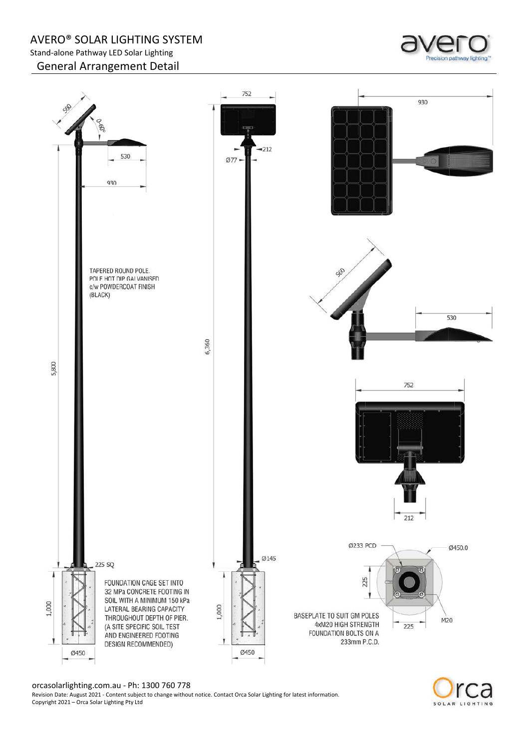AVERO® SOLAR LIGHTING SYSTEM Stand-alone Pathway LED Solar Lighting General Arrangement Detail





orcasolarlighting.com.au - Ph: 1300 760 778

Revision Date: August 2021 - Content subject to change without notice. Contact Orca Solar Lighting for latest information. Copyright 2021 – Orca Solar Lighting Pty Ltd